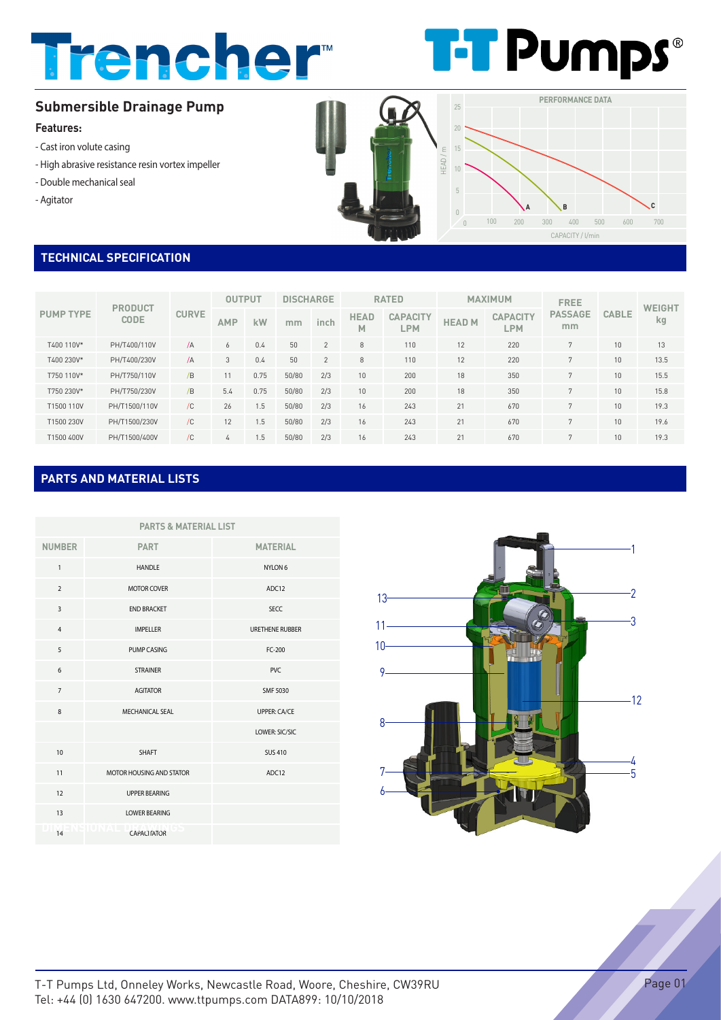# Trencher



### **Submersible Drainage Pump**

#### **Features:**

- Cast iron volute casing
- High abrasive resistance resin vortex impeller
- Double mechanical seal
- Agitator



#### **TECHNICAL SPECIFICATION**

| <b>PUMP TYPE</b> | <b>PRODUCT</b><br><b>CODE</b> | <b>CURVE</b> | <b>OUTPUT</b> |      | <b>DISCHARGE</b> |                | <b>RATED</b>     |                               | <b>MAXIMUM</b> |                               | <b>FREE</b>          |              | <b>WEIGHT</b> |
|------------------|-------------------------------|--------------|---------------|------|------------------|----------------|------------------|-------------------------------|----------------|-------------------------------|----------------------|--------------|---------------|
|                  |                               |              | AMP           | kW   | mm               | inch           | <b>HEAD</b><br>M | <b>CAPACITY</b><br><b>LPM</b> | <b>HEAD M</b>  | <b>CAPACITY</b><br><b>LPM</b> | <b>PASSAGE</b><br>mm | <b>CABLE</b> | kg            |
| T400 110V*       | PH/T400/110V                  | $\sqrt{A}$   | 6             | 0.4  | 50               | $\overline{2}$ | 8                | 110                           | 12             | 220                           | 7                    | 10           | 13            |
| T400 230V*       | PH/T400/230V                  | $\sqrt{A}$   | 3             | 0.4  | 50               | $\overline{2}$ | 8                | 110                           | 12             | 220                           | $\mathbf{z}$         | 10           | 13.5          |
| T750 110V*       | PH/T750/110V                  | /B           | 11            | 0.75 | 50/80            | 2/3            | 10               | 200                           | 18             | 350                           | $\mathbf{z}$         | 10           | 15.5          |
| T750 230V*       | PH/T750/230V                  | /B           | 5.4           | 0.75 | 50/80            | 2/3            | 10               | 200                           | 18             | 350                           | $\mathbf{z}$         | 10           | 15.8          |
| T1500 110V       | PH/T1500/110V                 | /C           | 26            | 1.5  | 50/80            | 2/3            | 16               | 243                           | 21             | 670                           | 7                    | 10           | 19.3          |
| T1500 230V       | PH/T1500/230V                 | /C           | 12            | 1.5  | 50/80            | 2/3            | 16               | 243                           | 21             | 670                           | $\mathbf{z}$         | 10           | 19.6          |
| T1500 400V       | PH/T1500/400V                 | /C           | 4             | 1.5  | 50/80            | 2/3            | 16               | 243                           | 21             | 670                           | $\overline{7}$       | 10           | 19.3          |

#### **PARTS AND MATERIAL LISTS**

| <b>PARTS &amp; MATERIAL LIST</b> |                          |                        |  |  |  |  |  |
|----------------------------------|--------------------------|------------------------|--|--|--|--|--|
| <b>NUMBER</b>                    | <b>PART</b>              | <b>MATERIAL</b>        |  |  |  |  |  |
| $\mathbf{1}$                     | <b>HANDLE</b>            | NYLON 6                |  |  |  |  |  |
| $\overline{2}$                   | <b>MOTOR COVER</b>       | ADC12                  |  |  |  |  |  |
| $\overline{3}$                   | <b>END BRACKET</b>       | <b>SECC</b>            |  |  |  |  |  |
| $\overline{4}$                   | <b>IMPELLER</b>          | <b>URETHENE RUBBER</b> |  |  |  |  |  |
| 5                                | PUMP CASING              | $FC-200$               |  |  |  |  |  |
| 6                                | <b>STRAINER</b>          | PVC.                   |  |  |  |  |  |
| $\overline{7}$                   | <b>AGITATOR</b>          | SMF 5030               |  |  |  |  |  |
| 8                                | MECHANICAL SEAL          | <b>UPPER: CA/CE</b>    |  |  |  |  |  |
|                                  |                          | LOWER: SIC/SIC         |  |  |  |  |  |
| 10                               | SHAFT                    | <b>SUS 410</b>         |  |  |  |  |  |
| 11                               | MOTOR HOUSING AND STATOR | ADC12                  |  |  |  |  |  |
| 12                               | <b>UPPER BEARING</b>     |                        |  |  |  |  |  |
| 13                               | <b>LOWER BEARING</b>     |                        |  |  |  |  |  |
| 14                               | <b>CAPACIFATOR</b>       |                        |  |  |  |  |  |